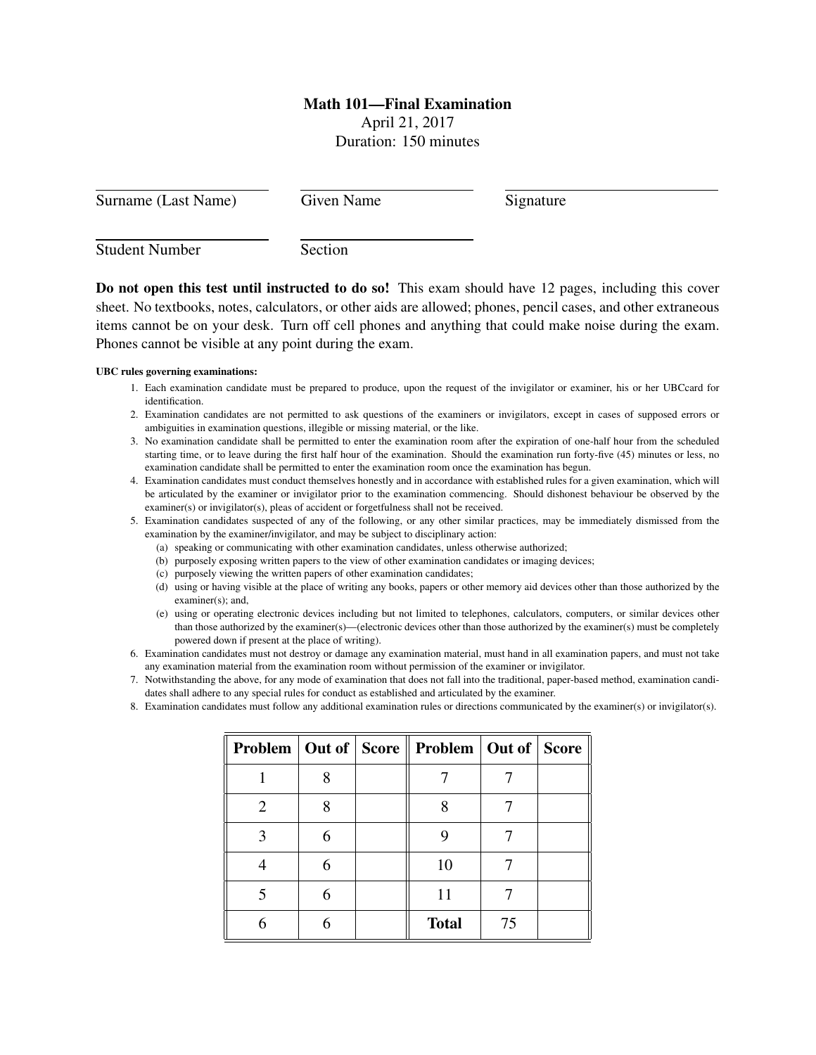## Math 101—Final Examination

April 21, 2017 Duration: 150 minutes

| Surname (Last Name)   | Given Name | Signature |  |
|-----------------------|------------|-----------|--|
| <b>Student Number</b> | Section    |           |  |

Do not open this test until instructed to do so! This exam should have 12 pages, including this cover sheet. No textbooks, notes, calculators, or other aids are allowed; phones, pencil cases, and other extraneous items cannot be on your desk. Turn off cell phones and anything that could make noise during the exam. Phones cannot be visible at any point during the exam.

## UBC rules governing examinations:

- 1. Each examination candidate must be prepared to produce, upon the request of the invigilator or examiner, his or her UBCcard for identification.
- 2. Examination candidates are not permitted to ask questions of the examiners or invigilators, except in cases of supposed errors or ambiguities in examination questions, illegible or missing material, or the like.
- 3. No examination candidate shall be permitted to enter the examination room after the expiration of one-half hour from the scheduled starting time, or to leave during the first half hour of the examination. Should the examination run forty-five (45) minutes or less, no examination candidate shall be permitted to enter the examination room once the examination has begun.
- 4. Examination candidates must conduct themselves honestly and in accordance with established rules for a given examination, which will be articulated by the examiner or invigilator prior to the examination commencing. Should dishonest behaviour be observed by the examiner(s) or invigilator(s), pleas of accident or forgetfulness shall not be received.
- 5. Examination candidates suspected of any of the following, or any other similar practices, may be immediately dismissed from the examination by the examiner/invigilator, and may be subject to disciplinary action:
	- (a) speaking or communicating with other examination candidates, unless otherwise authorized;
	- (b) purposely exposing written papers to the view of other examination candidates or imaging devices;
	- (c) purposely viewing the written papers of other examination candidates;
	- (d) using or having visible at the place of writing any books, papers or other memory aid devices other than those authorized by the examiner(s); and,
	- (e) using or operating electronic devices including but not limited to telephones, calculators, computers, or similar devices other than those authorized by the examiner(s)—(electronic devices other than those authorized by the examiner(s) must be completely powered down if present at the place of writing).
- 6. Examination candidates must not destroy or damage any examination material, must hand in all examination papers, and must not take any examination material from the examination room without permission of the examiner or invigilator.
- 7. Notwithstanding the above, for any mode of examination that does not fall into the traditional, paper-based method, examination candidates shall adhere to any special rules for conduct as established and articulated by the examiner.
- 8. Examination candidates must follow any additional examination rules or directions communicated by the examiner(s) or invigilator(s).

|                       |   | <b>Problem   Out of   Score    Problem   Out of   Score</b> |    |  |
|-----------------------|---|-------------------------------------------------------------|----|--|
|                       | Q |                                                             |    |  |
| $\mathcal{D}_{\cdot}$ | Ջ |                                                             |    |  |
|                       | 6 |                                                             |    |  |
|                       | 6 | 10                                                          |    |  |
|                       | 6 | 11                                                          |    |  |
|                       |   | <b>Total</b>                                                | 75 |  |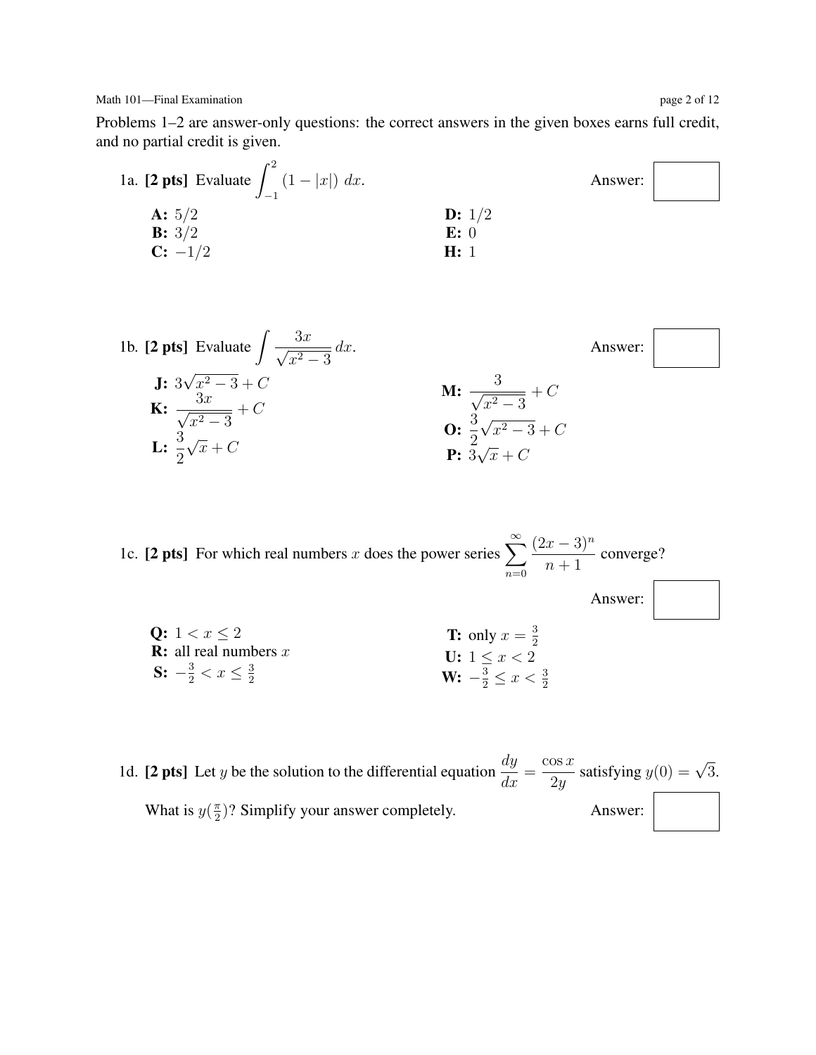Problems 1–2 are answer-only questions: the correct answers in the given boxes earns full credit, and no partial credit is given.





1c. [2 pts] For which real numbers x does the power series  $\sum_{n=1}^{\infty}$  $n=0$  $(2x-3)^n$  $\frac{x-9}{n+1}$  converge? Answer: Q:  $1 < x \leq 2$ **R:** all real numbers  $x$ S:  $-\frac{3}{2} < x \leq \frac{3}{2}$ 2 **T:** only  $x = \frac{3}{2}$ 2 U:  $1 \leq x < 2$ W:  $-\frac{3}{2} \leq x < \frac{3}{2}$ 

1d. [2 pts] Let y be the solution to the differential equation  $\frac{dy}{dx} =$  $\cos x$  $\frac{\cos x}{2y}$  satisfying  $y(0) = \sqrt{3}$ . What is  $y(\frac{\pi}{2})$  $\frac{\pi}{2}$ ? Simplify your answer completely. Answer: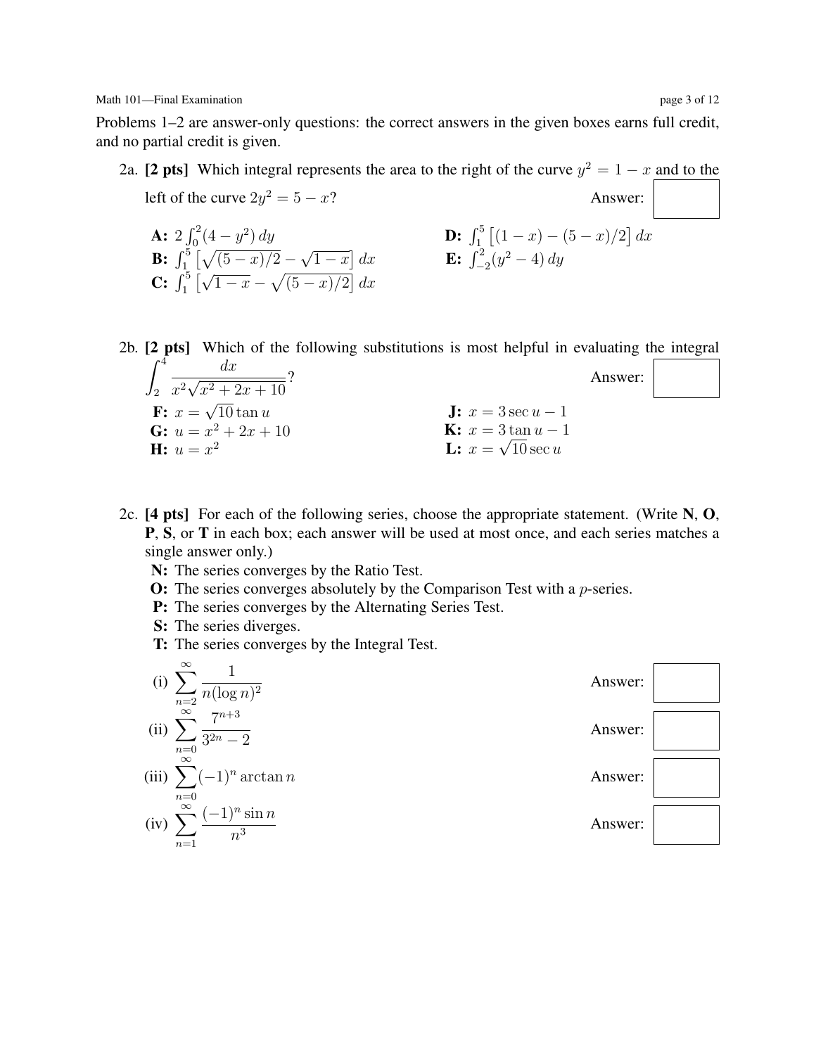Math 101—Final Examination page 3 of 12

C:  $\int_1^5\big[$ 

Problems 1–2 are answer-only questions: the correct answers in the given boxes earns full credit, and no partial credit is given.

2a. [2 pts] Which integral represents the area to the right of the curve  $y^2 = 1 - x$  and to the left of the curve  $2y^2 = 5 - x$ ? Answer: **A:**  $2 \int_0^2 (4 - y^2) dy$ **B:**  $\int_1^5 \left[ \sqrt{(5-x)/2} - \right]$ √  $\overline{1-x}$  dx √ **D:**  $\int_1^5 [(1-x)-(5-x)/2] dx$ **E:**  $\int_{-2}^{2} (y^2 - 4) dy$ 

2b. [2 pts] Which of the following substitutions is most helpful in evaluating the integral  $\int_0^4$ 2  $dx$  $\frac{1}{x^2}\sqrt{2x^2}$  $x^2 + 2x + 10$ Answer:  $\mathbf{F:} \; x =$ √  $10 \tan u$ **J:**  $x = 3 \sec u - 1$ 

> **K:**  $x = 3 \tan u - 1$ **L:**  $x = \sqrt{10} \sec u$

- 2c.  $[4 \text{ pts}]$  For each of the following series, choose the appropriate statement. (Write N, O, P, S, or T in each box; each answer will be used at most once, and each series matches a single answer only.)
	- N: The series converges by the Ratio Test.

 $\overline{1-x} - \sqrt{(5-x)/2} dx$ 

- O: The series converges absolutely by the Comparison Test with a p-series.
- P: The series converges by the Alternating Series Test.
- S: The series diverges.

G:  $u = x^2 + 2x + 10$ 

**H:**  $u = x^2$ 

T: The series converges by the Integral Test.

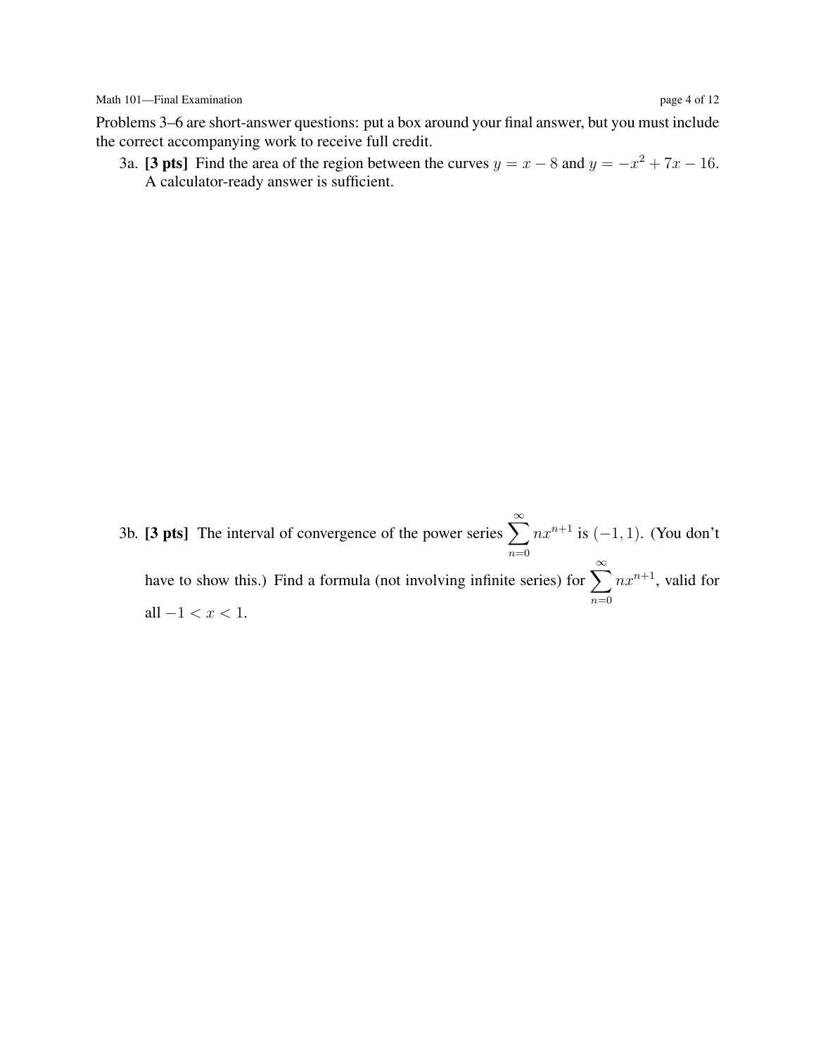Problems 3–6 are short-answer questions: put a box around your final answer, but you must include the correct accompanying work to receive full credit.

3a. [3 pts] Find the area of the region between the curves  $y = x - 8$  and  $y = -x^2 + 7x - 16$ . A calculator-ready answer is sufficient.

3b. [3 pts] The interval of convergence of the power series  $\sum_{n=1}^{\infty}$  $n=0$  $nx^{n+1}$  is  $(-1, 1)$ . (You don't have to show this.) Find a formula (not involving infinite series) for  $\sum_{n=0}^{\infty}$  $n=0$  $nx^{n+1}$ , valid for all  $-1 < x < 1$ .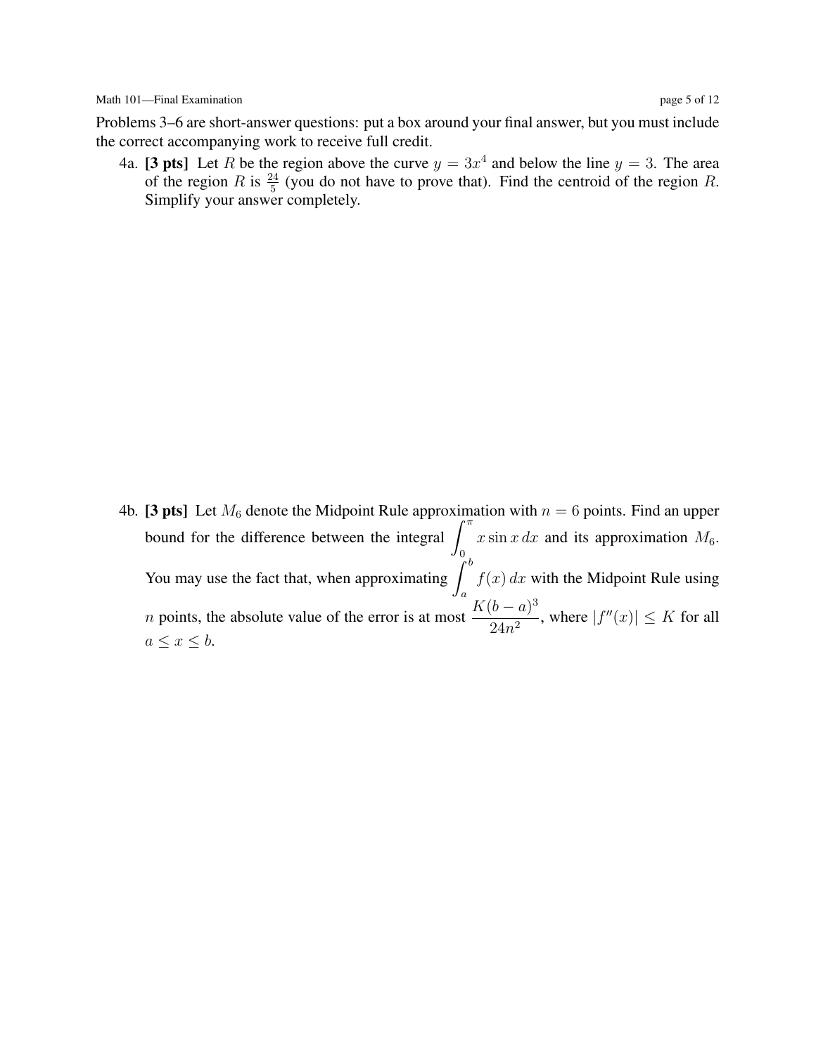Problems 3–6 are short-answer questions: put a box around your final answer, but you must include the correct accompanying work to receive full credit.

4a. [3 pts] Let R be the region above the curve  $y = 3x^4$  and below the line  $y = 3$ . The area of the region R is  $\frac{24}{5}$  (you do not have to prove that). Find the centroid of the region R. Simplify your answer completely.

4b. [3 pts] Let  $M_6$  denote the Midpoint Rule approximation with  $n = 6$  points. Find an upper bound for the difference between the integral  $\int_{-\pi}^{\pi}$ 0  $x \sin x dx$  and its approximation  $M_6$ . You may use the fact that, when approximating  $\int^b$ a  $f(x) dx$  with the Midpoint Rule using *n* points, the absolute value of the error is at most  $\frac{K(b-a)^3}{2(1-a)^3}$  $\frac{1}{24n^2}$ , where  $|f''(x)| \leq K$  for all  $a \leq x \leq b$ .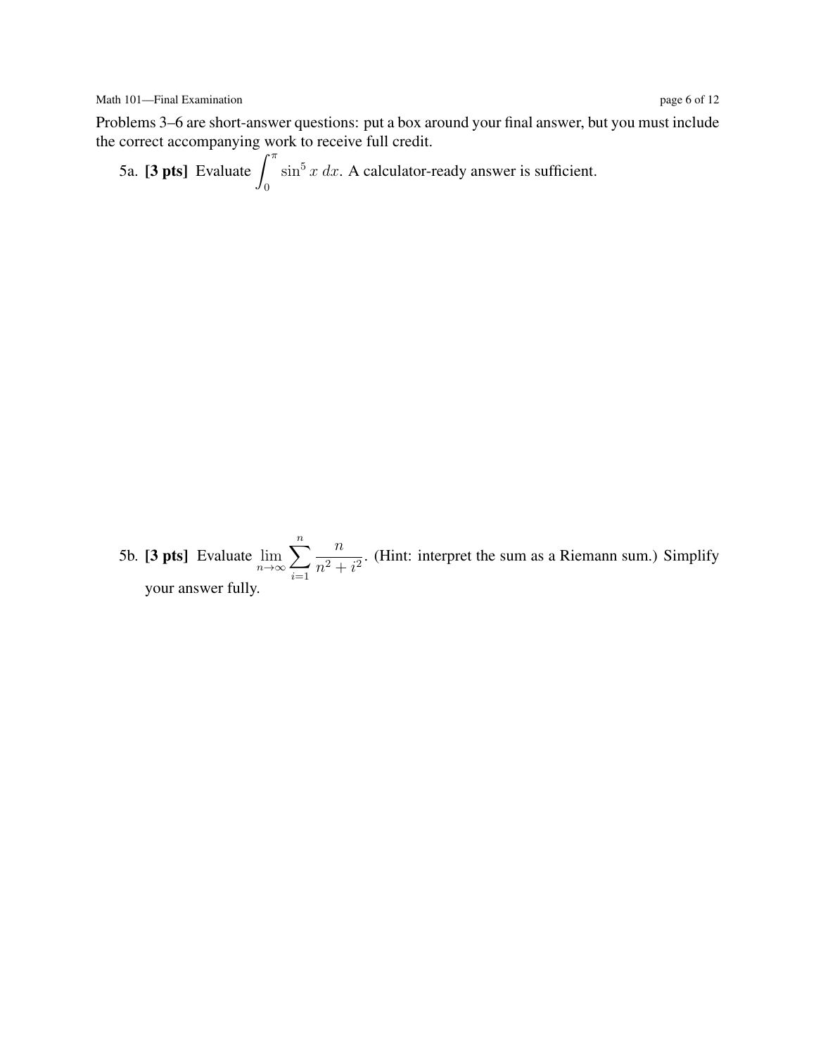Problems 3–6 are short-answer questions: put a box around your final answer, but you must include the correct accompanying work to receive full credit.

5a. [3 pts] Evaluate  $\int_0^{\pi}$ 0  $\sin^5 x \, dx$ . A calculator-ready answer is sufficient.

5b. [3 pts] Evaluate  $\lim_{n\to\infty}$  $\sum_{n=1}^{\infty}$  $i=1$ n  $\frac{n}{n^2 + i^2}$ . (Hint: interpret the sum as a Riemann sum.) Simplify your answer fully.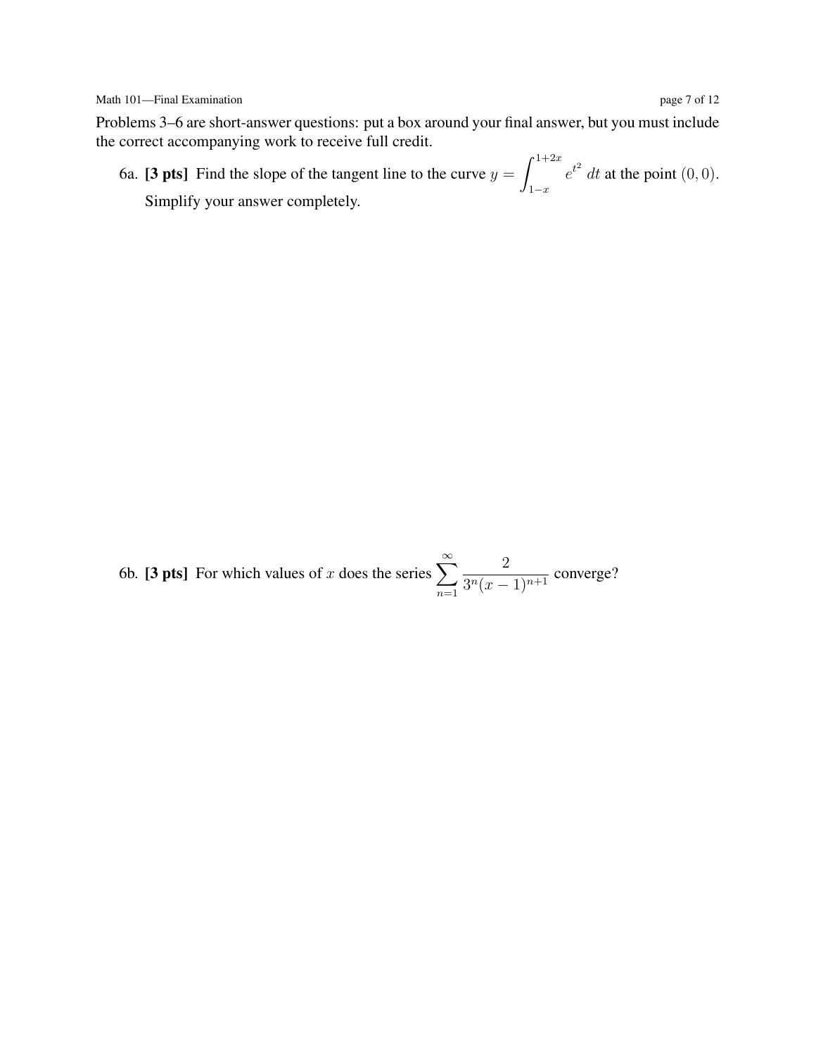Math 101—Final Examination page 7 of 12

Problems 3–6 are short-answer questions: put a box around your final answer, but you must include the correct accompanying work to receive full credit.

6a. [3 pts] Find the slope of the tangent line to the curve  $y = \int_{0}^{1+2x}$  $1-x$  $e^{t^2}$  dt at the point  $(0,0)$ . Simplify your answer completely.

6b. [3 pts] For which values of x does the series  $\sum_{n=1}^{\infty}$  $n=1$ 2  $\frac{2}{3^n(x-1)^{n+1}}$  converge?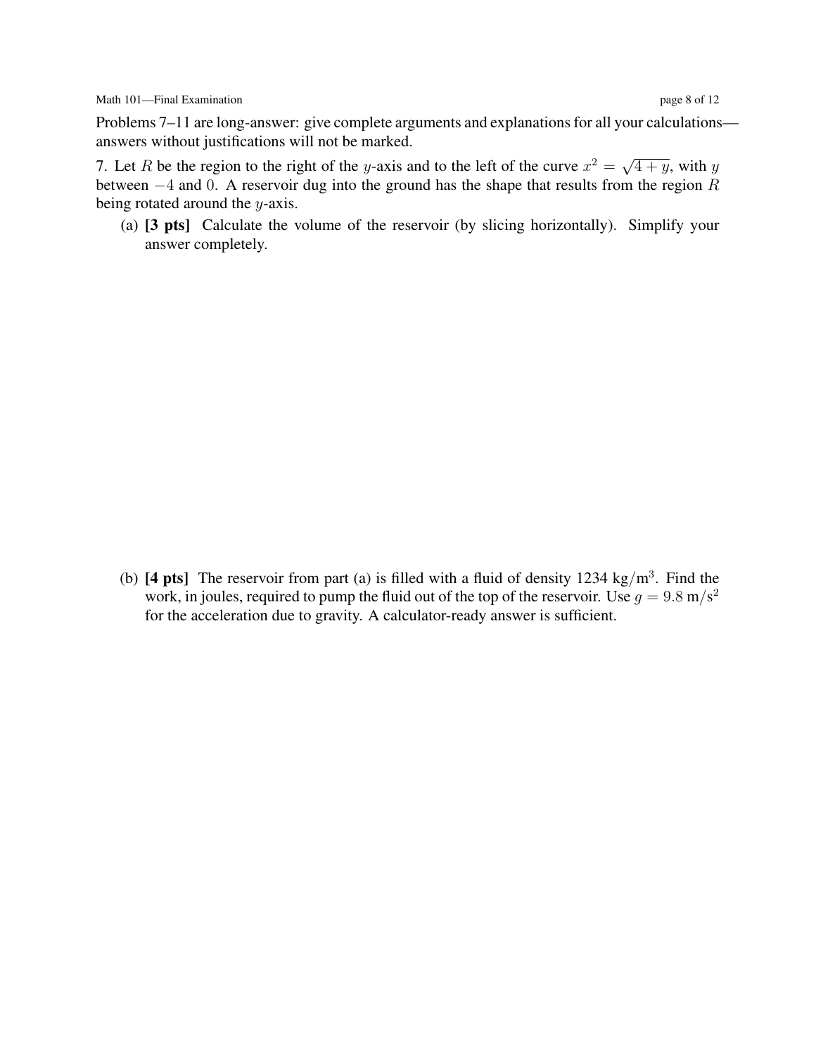7. Let R be the region to the right of the y-axis and to the left of the curve  $x^2 = \sqrt{ }$  $\overline{4+y}$ , with y between  $-4$  and 0. A reservoir dug into the ground has the shape that results from the region R being rotated around the  $y$ -axis.

(a) [3 pts] Calculate the volume of the reservoir (by slicing horizontally). Simplify your answer completely.

(b) [4 pts] The reservoir from part (a) is filled with a fluid of density 1234 kg/m<sup>3</sup>. Find the work, in joules, required to pump the fluid out of the top of the reservoir. Use  $g = 9.8 \text{ m/s}^2$ for the acceleration due to gravity. A calculator-ready answer is sufficient.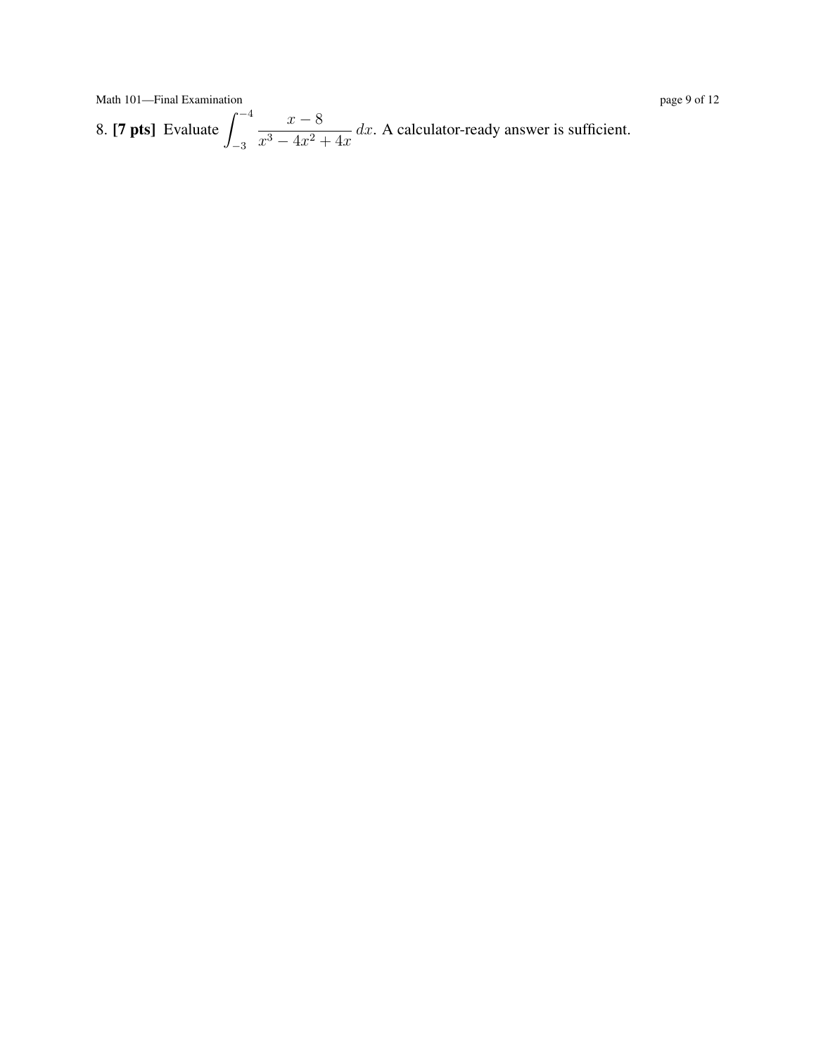Math 101—Final Examination page 9 of 12

8. [**7 pts**] Evaluate  $\int_{0}^{-4}$ −3  $x - 8$  $\frac{x}{x^3 - 4x^2 + 4x}$  dx. A calculator-ready answer is sufficient.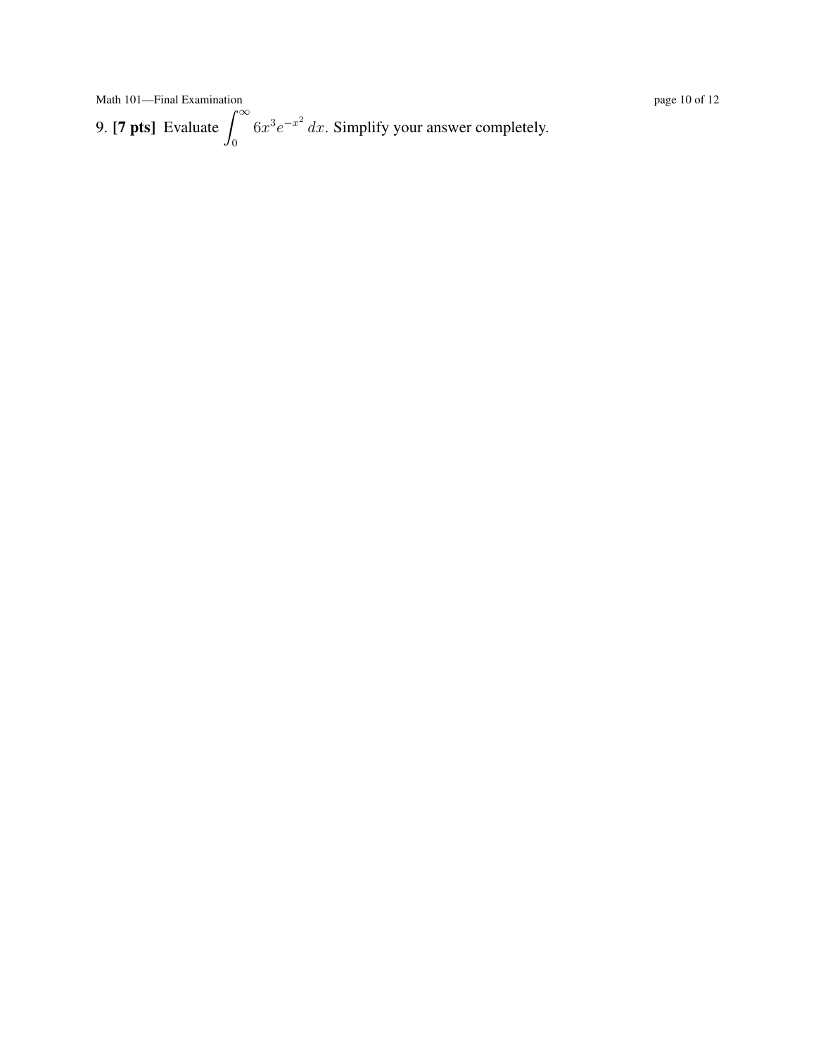Math 101—Final Examination **page 10** of 12 9. [**7 pts**] Evaluate  $\int_{0}^{\infty}$ 0  $6x^3e^{-x^2}$  dx. Simplify your answer completely.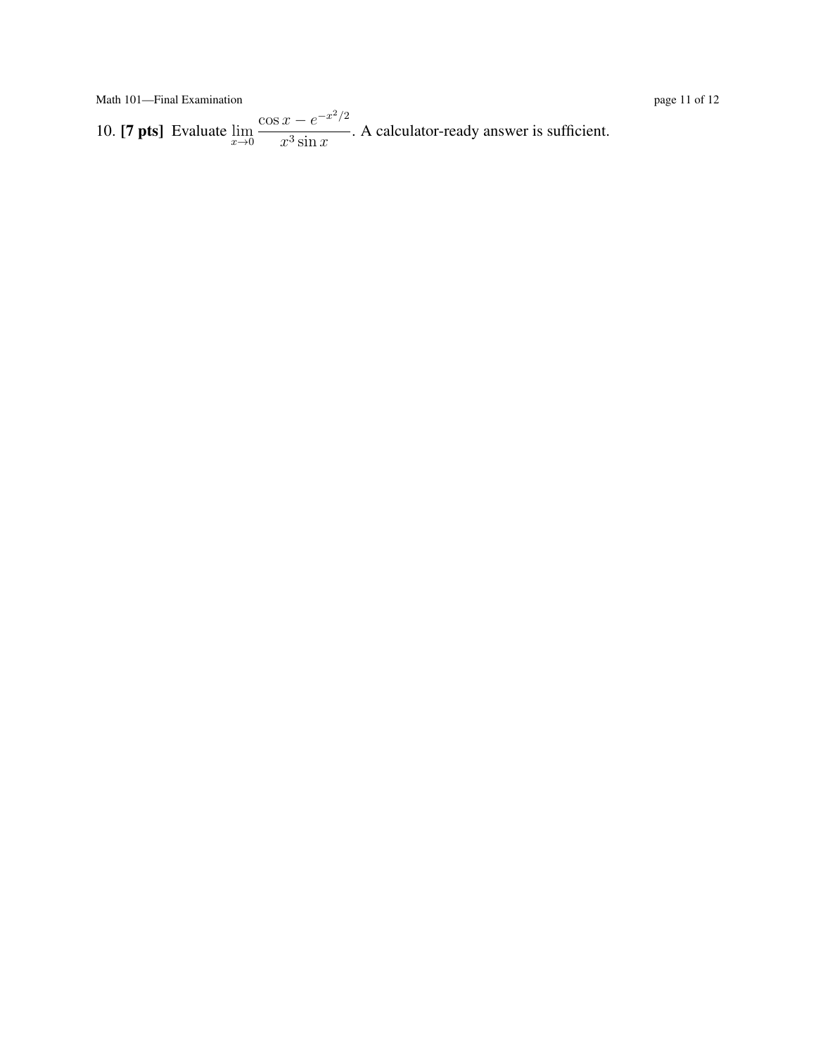Math 101—Final Examination page 11 of 12

10. [**7 pts**] Evaluate  $\lim_{x\to 0}$  $\cos x - e^{-x^2/2}$  $\frac{x}{x^3 \sin x}$ . A calculator-ready answer is sufficient.